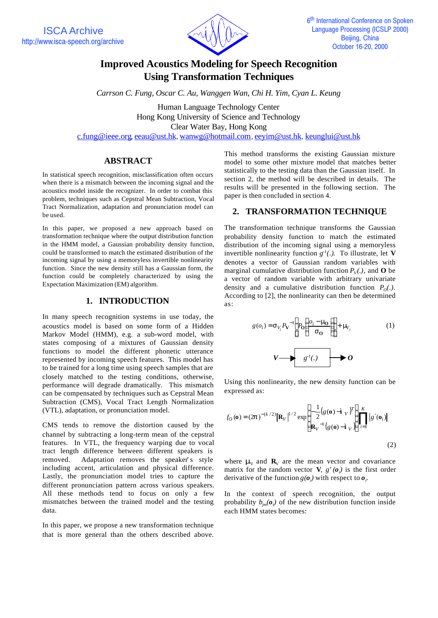

# **Improved Acoustics Modeling for Speech Recognition Using Transformation Techniques**

*Carrson C. Fung, Oscar C. Au, Wanggen Wan, Chi H. Yim, Cyan L. Keung*

Human Language Technology Center Hong Kong University of Science and Technology Clear Water Bay, Hong Kong c.fung@ieee.org, eeau@ust.hk, wanwg@hotmail.com, eeyim@ust.hk, keunglui@ust.hk

# **ABSTRACT**

In statistical speech recognition, misclassification often occurs when there is a mismatch between the incoming signal and the acoustics model inside the recognizer. In order to combat this problem, techniques such as Cepstral Mean Subtraction, Vocal Tract Normalization, adaptation and pronunciation model can be used.

In this paper, we proposed a new approach based on transformation technique where the output distribution function in the HMM model, a Gaussian probability density function, could be transformed to match the estimated distribution of the incoming signal by using a memoryless invertible nonlinearity function. Since the new density still has a Gaussian form, the function could be completely characterized by using the Expectation Maximization (EM) algorithm.

### **1. INTRODUCTION**

In many speech recognition systems in use today, the acoustics model is based on some form of a Hidden Markov Model (HMM), e.g. a sub-word model, with states composing of a mixtures of Gaussian density functions to model the different phonetic utterance represented by incoming speech features. This model has to be trained for a long time using speech samples that are closely matched to the testing conditions, otherwise, performance will degrade dramatically. This mismatch can be compensated by techniques such as Cepstral Mean Subtraction (CMS), Vocal Tract Length Normalization (VTL), adaptation, or pronunciation model.

CMS tends to remove the distortion caused by the channel by subtracting a long-term mean of the cepstral features. In VTL, the frequency warping due to vocal tract length difference between different speakers is removed. Adaptation removes the speaker's style including accent, articulation and physical difference. Lastly, the pronunciation model tries to capture the different pronunciation pattern across various speakers. All these methods tend to focus on only a few mismatches between the trained model and the testing data.

In this paper, we propose a new transformation technique that is more general than the others described above. This method transforms the existing Gaussian mixture model to some other mixture model that matches better statistically to the testing data than the Gaussian itself. In section 2, the method will be described in details. The results will be presented in the following section. The paper is then concluded in section 4.

# **2. TRANSFORMATION TECHNIQUE**

The transformation technique transforms the Gaussian probability density function to match the estimated distribution of the incoming signal using a memoryless invertible nonlinearity function  $g<sup>-1</sup>(.)$ . To illustrate, let **V** denotes a vector of Gaussian random variables with marginal cumulative distribution function  $P_V(.)$ , and **O** be a vector of random variable with arbitrary univariate density and a cumulative distribution function  $P_0(.)$ . According to [2], the nonlinearity can then be determined as:

$$
g(o_i) = \mathbf{s}_{V_i} P \mathbf{v}^{-1} \left[ P_0 \left( \frac{o_i - \mathbf{m}_0}{\mathbf{s}_0} \right) \right] + \mathbf{m}_{V_i}
$$
 (1)  

$$
V \longrightarrow g^{-1}(.) \longrightarrow O
$$

Using this nonlinearity, the new density function can be expressed as:

$$
f_O(\mathbf{o}) = (2\mathbf{p})^{-(k/2)} |\mathbf{R}_V|^{1/2} \exp \begin{cases} -\frac{1}{2} (g(\mathbf{o}) - \mathbf{i}_V)^T \\ \mathbf{R}_V^{-1} (g(\mathbf{o}) - \mathbf{i}_V) \end{cases} \prod_{i=1}^K |g'(\mathbf{o}_i)|
$$
\n(2)

where **m** and  $\mathbf{R}_v$  are the mean vector and covariance matrix for the random vector **V**,  $g'(\boldsymbol{o}_i)$  is the first order derivative of the function  $g(\boldsymbol{o}_i)$  with respect to  $\boldsymbol{o}_i$ .

In the context of speech recognition, the output probability  $b_{jm}(\boldsymbol{o}_t)$  of the new distribution function inside each HMM states becomes: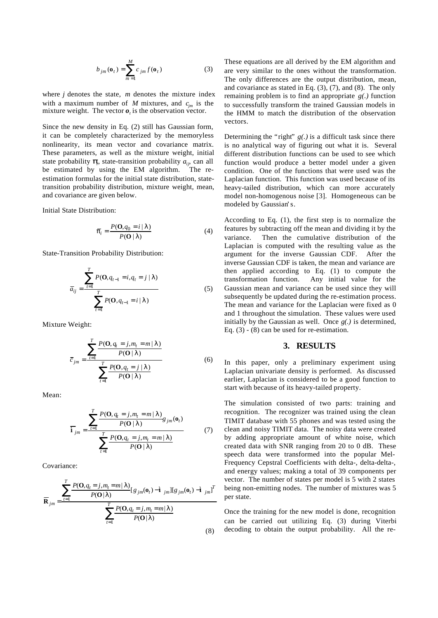$$
b_{jm}(\mathbf{o}_t) = \sum_{m=1}^{M} c_{jm} f(\mathbf{o}_t)
$$
 (3)

where *j* denotes the state, *m* denotes the mixture index with a maximum number of *M* mixtures, and  $c_{jm}$  is the mixture weight. The vector  $\boldsymbol{o}_t$  is the observation vector.

Since the new density in Eq. (2) still has Gaussian form, it can be completely characterized by the memoryless nonlinearity, its mean vector and covariance matrix. These parameters, as well as the mixture weight, initial state probability  $\boldsymbol{p}$ , state-transition probability  $a_{ij}$ , can all be estimated by using the EM algorithm. The reestimation formulas for the initial state distribution, statetransition probability distribution, mixture weight, mean, and covariance are given below.

Initial State Distribution:

$$
\overline{p}_i = \frac{P(\mathbf{O}, q_0 = i | \mathbf{I})}{P(\mathbf{O} | \mathbf{I})}
$$
(4)

State-Transition Probability Distribution:

$$
\overline{a}_{ij} = \frac{\sum_{t=1}^{T} P(\mathbf{O}, q_{t-1} = i, q_t = j | \mathbf{I})}{\sum_{t=1}^{T} P(\mathbf{O}, q_{t-1} = i | \mathbf{I})}
$$
(5)

Mixture Weight:

$$
\bar{c}_{jm} = \frac{\sum_{t=1}^{T} \frac{P(\mathbf{O}, q_t = j, m_t = m | \mathbf{I})}{P(\mathbf{O} | \mathbf{I})}}{\sum_{t=1}^{T} \frac{P(\mathbf{O}, q_t = j | \mathbf{I})}{P(\mathbf{O} | \mathbf{I})}}
$$
(6)

Mean:

$$
\overline{\mathbf{i}}_{jm} = \frac{\sum_{t=1}^{T} \frac{P(\mathbf{O}, q_t = j, m_t = m | \mathbf{I})}{P(\mathbf{O} | \mathbf{I})} g_{jm}(\mathbf{o}_t)}{\sum_{t=1}^{T} \frac{P(\mathbf{O}, q_t = j, m_t = m | \mathbf{I})}{P(\mathbf{O} | \mathbf{I})}}
$$
(7)

Covariance:

$$
\overline{\mathbf{R}}_{jm} = \frac{\sum_{t=1}^{T} P(\mathbf{O}, q_t = j, m_t = m | \mathbf{I})}{P(\mathbf{O} | \mathbf{I})} [g_{jm}(\mathbf{o}_t) - \mathbf{\hat{i}}_{jm}] [g_{jm}(\mathbf{o}_t) - \mathbf{\hat{i}}_{jm}]^T}{\sum_{t=1}^{T} P(\mathbf{O}, q_t = j, m_t = m | \mathbf{I})}{P(\mathbf{O} | \mathbf{I})}
$$
(8)

These equations are all derived by the EM algorithm and are very similar to the ones without the transformation. The only differences are the output distribution, mean, and covariance as stated in Eq. (3), (7), and (8). The only remaining problem is to find an appropriate *g(.)* function to successfully transform the trained Gaussian models in the HMM to match the distribution of the observation vectors.

Determining the "right"  $g(.)$  is a difficult task since there is no analytical way of figuring out what it is. Several different distribution functions can be used to see which function would produce a better model under a given condition. One of the functions that were used was the Laplacian function. This function was used because of its heavy-tailed distribution, which can more accurately model non-homogenous noise [3]. Homogeneous can be modeled by Gaussian's.

According to Eq. (1), the first step is to normalize the features by subtracting off the mean and dividing it by the variance. Then the cumulative distribution of the Laplacian is computed with the resulting value as the argument for the inverse Gaussian CDF. After the inverse Gaussian CDF is taken, the mean and variance are then applied according to Eq. (1) to compute the transformation function. Any initial value for the Gaussian mean and variance can be used since they will subsequently be updated during the re-estimation process. The mean and variance for the Laplacian were fixed as 0 and 1 throughout the simulation. These values were used initially by the Gaussian as well. Once *g(.)* is determined, Eq. (3) - (8) can be used for re-estimation.

#### **3. RESULTS**

In this paper, only a preliminary experiment using Laplacian univariate density is performed. As discussed earlier, Laplacian is considered to be a good function to start with because of its heavy-tailed property.

The simulation consisted of two parts: training and recognition. The recognizer was trained using the clean TIMIT database with 55 phones and was tested using the clean and noisy TIMIT data. The noisy data were created by adding appropriate amount of white noise, which created data with SNR ranging from 20 to 0 dB. These speech data were transformed into the popular Mel-Frequency Cepstral Coefficients with delta-, delta-delta-, and energy values; making a total of 39 components per vector. The number of states per model is 5 with 2 states being non-emitting nodes. The number of mixtures was 5 per state.

Once the training for the new model is done, recognition can be carried out utilizing Eq. (3) during Viterbi decoding to obtain the output probability. All the re